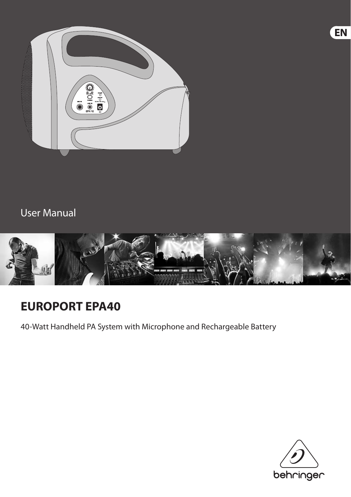

## User Manual



# **EUROPORT EPA40**

40-Watt Handheld PA System with Microphone and Rechargeable Battery



**EN**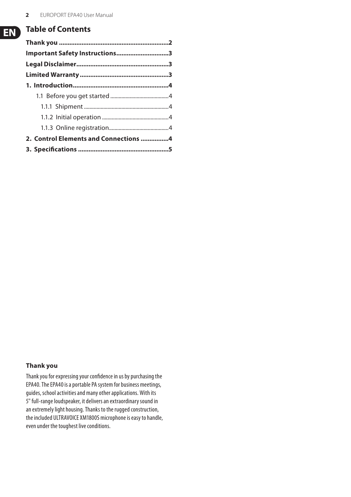### **Table of Contents**

| Important Safety Instructions3        |  |
|---------------------------------------|--|
|                                       |  |
|                                       |  |
|                                       |  |
|                                       |  |
|                                       |  |
|                                       |  |
|                                       |  |
| 2. Control Elements and Connections 4 |  |
|                                       |  |

#### **Thank you**

Thank you for expressing your confidence in us by purchasing the EPA40. The EPA40 is a portable PA system for business meetings, guides, school activities and many other applications. With its 5" full-range loudspeaker, it delivers an extraordinary sound in an extremely light housing. Thanks to the rugged construction, the included ULTRAVOICE XM1800S microphone is easy to handle, even under the toughest live conditions.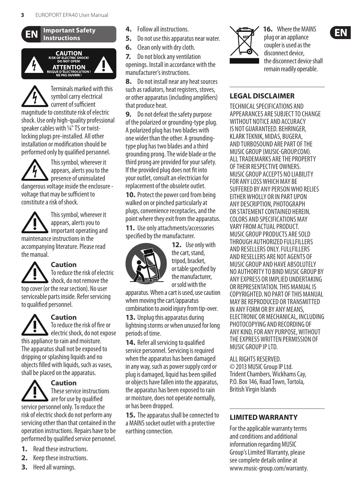<span id="page-2-0"></span>



Terminals marked with this symbol carry electrical current of sufficient magnitude to constitute risk of electric shock. Use only high-quality professional speaker cables with ¼" TS or twistlocking plugs pre-installed. All other installation or modification should be performed only by qualified personnel.

This symbol, wherever it appears, alerts you to the  $\triangleright$  presence of uninsulated dangerous voltage inside the enclosure voltage that may be sufficient to constitute a risk of shock.

This symbol, wherever it appears, alerts you to important operating and maintenance instructions in the accompanying literature. Please read the manual.

**Caution** To reduce the risk of electric shock, do not remove the top cover (or the rear section). No user serviceable parts inside. Refer servicing to qualified personnel.



#### **Caution** To reduce the risk of fire or

electric shock, do not expose this appliance to rain and moisture. The apparatus shall not be exposed to dripping or splashing liquids and no objects filled with liquids, such as vases, shall be placed on the apparatus.



**Caution** These service instructions  $\blacktriangle$  are for use by qualified

service personnel only. To reduce the risk of electric shock do not perform any servicing other than that contained in the operation instructions. Repairs have to be performed by qualified service personnel.

- **1.** Read these instructions.
- **2.** Keep these instructions.
- **3.** Heed all warnings.
- **4.** Follow all instructions.
- **5.** Do not use this apparatus near water.
- **6.** Clean only with dry cloth.

**7.** Do not block any ventilation openings. Install in accordance with the manufacturer's instructions.

**8.** Do not install near any heat sources such as radiators, heat registers, stoves, or other apparatus (including amplifiers) that produce heat.

**9.** Do not defeat the safety purpose of the polarized or grounding-type plug. A polarized plug has two blades with one wider than the other. A groundingtype plug has two blades and a third grounding prong. The wide blade or the third prong are provided for your safety. If the provided plug does not fit into your outlet, consult an electrician for replacement of the obsolete outlet.

**10.** Protect the power cord from being walked on or pinched particularly at plugs, convenience receptacles, and the point where they exit from the apparatus.

**11.** Use only attachments/accessories specified by the manufacturer.



**12.** Use only with the cart, stand, tripod, bracket, or table specified by the manufacturer, or sold with the

apparatus. When a cart is used, use caution when moving the cart/apparatus combination to avoid injury from tip-over.

**13.** Unplug this apparatus during lightning storms or when unused for long periods of time.

**14.** Refer all servicing to qualified service personnel. Servicing is required when the apparatus has been damaged in any way, such as power supply cord or plug is damaged, liquid has been spilled or objects have fallen into the apparatus, the apparatus has been exposed to rain or moisture, does not operate normally, or has been dropped.

**15.** The apparatus shall be connected to a MAINS socket outlet with a protective earthing connection.



**16.** Where the MAINS plug or an appliance coupler is used as the disconnect device, the disconnect device shall remain readily operable.

#### **LEGAL DISCLAIMER**

TECHNICAL SPECIFICATIONS AND APPEARANCES ARE SUBJECT TO CHANGE WITHOUT NOTICE AND ACCURACY IS NOT GUARANTEED. BEHRINGER, KLARK TEKNIK, MIDAS, BUGERA, AND TURBOSOUND ARE PART OF THE MUSIC GROUP (MUSIC-GROUP.COM). ALL TRADEMARKS ARE THE PROPERTY OF THEIR RESPECTIVE OWNERS. MUSIC GROUP ACCEPTS NO LIABILITY FOR ANY LOSS WHICH MAY BE SUFFERED BY ANY PERSON WHO RELIES EITHER WHOLLY OR IN PART UPON ANY DESCRIPTION, PHOTOGRAPH OR STATEMENT CONTAINED HEREIN. COLORS AND SPECIFICATIONS MAY VARY FROM ACTUAL PRODUCT. MUSIC GROUP PRODUCTS ARE SOLD THROUGH AUTHORIZED FULLFILLERS AND RESELLERS ONLY. FULLFILLERS AND RESELLERS ARE NOT AGENTS OF MUSIC GROUP AND HAVE ABSOLUTELY NO AUTHORITY TO BIND MUSIC GROUP BY ANY EXPRESS OR IMPLIED UNDERTAKING OR REPRESENTATION THIS MANUAL IS COPYRIGHTED. NO PART OF THIS MANUAL MAY BE REPRODUCED OR TRANSMITTED IN ANY FORM OR BY ANY MEANS, ELECTRONIC OR MECHANICAL, INCLUDING PHOTOCOPYING AND RECORDING OF ANY KIND, FOR ANY PURPOSE, WITHOUT THE EXPRESS WRITTEN PERMISSION OF MUSIC GROUP IP LTD.

ALL RIGHTS RESERVED. © 2013 MUSIC Group IP Ltd. Trident Chambers, Wickhams Cay, P.O. Box 146, Road Town, Tortola, British Virgin Islands

#### **LIMITED WARRANTY**

For the applicable warranty terms and conditions and additional information regarding MUSIC Group's Limited Warranty, please see complete details online at www.music-group.com/warranty.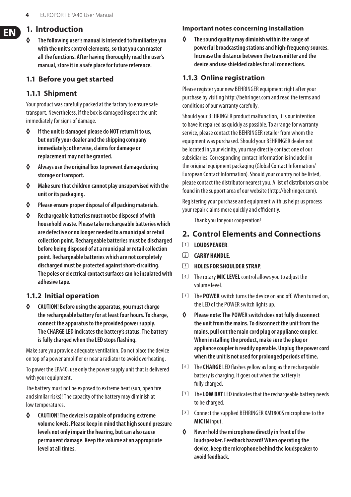#### <span id="page-3-0"></span>**1. Introduction**

**◊ The following user's manual is intended to familiarize you with the unit's control elements, so that you can master all the functions. After having thoroughly read the user's manual, store it in a safe place for future reference.**

#### **1.1 Before you get started**

#### **1.1.1 Shipment**

Your product was carefully packed at the factory to ensure safe transport. Nevertheless, if the box is damaged inspect the unit immediately for signs of damage.

- **◊ If the unit is damaged please do NOT return it to us, but notify your dealer and the shipping company immediately; otherwise, claims for damage or replacementmay not be granted.**
- **◊ Always use the original box to prevent damage during storage or transport.**
- **◊ Make sure that children cannot play unsupervised with the unit or its packaging.**
- **◊ Please ensure proper disposal of all packing materials.**
- **◊ Rechargeable batteries must not be disposed of with household waste. Please take rechargeable batteries which are defective or no longer needed to a municipal or retail collection point. Rechargeable batteries must be discharged before being disposed of at a municipal or retail collection point. Rechargeable batteries which are not completely discharged must be protected against short-circuiting. The poles or electrical contact surfaces can be insulated with adhesive tape.**

#### **1.1.2 Initial operation**

**◊ CAUTION! Before using the apparatus, you must charge the rechargeable battery for at least four hours. To charge, connect the apparatus to the provided power supply. TheCHARGE LED indicates the battery's status. The battery isfully charged when the LED stopsflashing.**

Make sure you provide adequate ventilation. Do not place the device on top of a power amplifier or near a radiator to avoid overheating.

To power the EPA40, use only the power supply unit that is delivered with your equipment.

The battery must not be exposed to extreme heat (sun, open fire and similar risks)! The capacity of the battery may diminish at low temperatures.

**◊ CAUTION! The device is capable of producing extreme volume levels. Please keep in mind that high sound pressure levels not only impair the hearing, but can also cause permanent damage. Keep the volume at an appropriate level at all times.**

#### **Important notes concerning installation**

**◊ The sound quality may diminish within the range of powerful broadcasting stations and high-frequency sources. Increase the distance between the transmitter and the device and use shielded cables for all connections.**

#### **1.1.3 Online registration**

Please register your new BEHRINGER equipment right after your purchase by visiting http://behringer.com and read the terms and conditions of our warranty carefully.

Should your BEHRINGER product malfunction, it is our intention to have it repaired as quickly as possible. To arrange for warranty service, please contact the BEHRINGER retailer from whom the equipment was purchased. Should your BEHRINGER dealer not be located in your vicinity, you may directly contact one of our subsidiaries. Corresponding contact information is included in the original equipment packaging (Global Contact Information/ European Contact Information). Should your country not be listed, please contact the distributor nearest you. A list of distributors can be found in the support area of our website (http://behringer.com).

Registering your purchase and equipment with us helps us process your repair claims more quickly and efficiently.

Thank you for your cooperation!

#### **2. Control Elements and Connections**

- (1) **LOUDSPEAKER**.
- (2) **CARRY HANDLE**.
- (3) **HOLES FOR SHOULDER STRAP**.
- (4) The rotary **MIC LEVEL** control allows you to adjust the volume level.
- (5) The **POWER** switch turns the device on and off. When turned on, the LED of the POWER switch lights up.
- **◊ Please note: The POWER switch does not fully disconnect the unit from the mains. To disconnect the unit from the mains, pull out the main cord plug or appliance coupler. When installing the product, make sure the plug or appliance coupler is readily operable. Unplug the power cord when the unit is not used for prolonged periods of time.**
- (6) The **CHARGE** LED flashes yellow as long as the rechargeable battery is charging. It goes out when the battery is fully charged.
- (7) The **LOW BAT** LED indicates that the rechargeable battery needs to be charged.
- (8) Connect the supplied BEHRINGER XM1800S microphone to the **MIC IN** input.
- **◊ Never hold the microphone directly in front of the loudspeaker. Feedback hazard! When operating the device, keep the microphone behind the loudspeaker to avoid feedback.**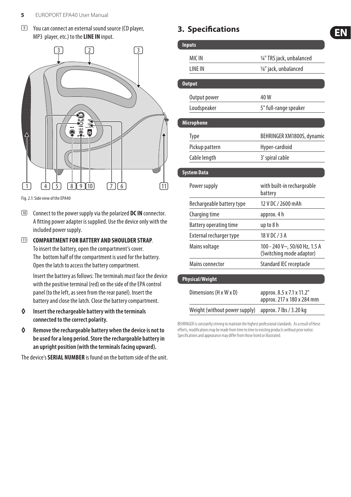<span id="page-4-0"></span>(9) You can connect an external sound source (CD player, MP3 player, etc.) to the **LINE IN** input.



Fig. 2.1: Side view of the EPA40

- (10) Connect to the power supply via the polarized **DC IN** connector. A fitting power adapter is supplied. Use the device only with the included power supply.
- (11) **COMPARTMENT FOR BATTERY AND SHOULDER STRAP**. To insert the battery, open the compartment's cover. The bottom half of the compartment is used for the battery. Open the latch to access the battery compartment.

Insert the battery as follows: The terminals must face the device with the positive terminal (red) on the side of the EPA control panel (to the left, as seen from the rear panel). Insert the battery and close the latch. Close the battery compartment.

- **◊ Insert the rechargeable battery with the terminals connected to the correct polarity.**
- **◊ Remove the rechargeable battery when the device is not to be used for a long period. Store the rechargeable battery in an upright position (with the terminals facing upward).**

The device's **SERIAL NUMBER** is found on the bottom side of the unit.

## **3. Specifications**

| <b>Inputs</b>                 |                                                           |
|-------------------------------|-----------------------------------------------------------|
| MIC IN                        | 1/4" TRS jack, unbalanced                                 |
| <b>I INF IN</b>               | 1/8" jack, unbalanced                                     |
|                               |                                                           |
| <b>Output</b>                 |                                                           |
| Output power                  | 40W                                                       |
| Loudspeaker                   | 5" full-range speaker                                     |
| Microphone                    |                                                           |
| Type                          | BEHRINGER XM1800S, dynamic                                |
| Pickup pattern                | Hyper-cardioid                                            |
| Cable length                  | 3' spiral cable                                           |
| <b>System Data</b>            |                                                           |
| Power supply                  | with built-in rechargeable<br>battery                     |
| Rechargeable battery type     | 12 V DC / 2600 mAh                                        |
| Charging time                 | approx. 4 h                                               |
| Battery operating time        | up to 8 h                                                 |
| External recharger type       | 18 V DC / 3 A                                             |
| Mains voltage                 | 100 - 240 V~, 50/60 Hz, 1.5 A<br>(Switching mode adaptor) |
| Mains connector               | Standard IEC receptacle                                   |
| Physical/Weight               |                                                           |
| Dimensions (H x W x D)        | approx. 8.5 x 7.1 x 11.2"<br>approx. 217 x 180 x 284 mm   |
| Weight (without power supply) | approx. 7 lbs / 3.20 kg                                   |

EN.

BEHRINGER is constantly striving to maintain the highest professional standards. As a result of these efforts, modifications may be made from time to time to existing products without prior notice. Specifications and appearance may differ from those listed or illustrated.